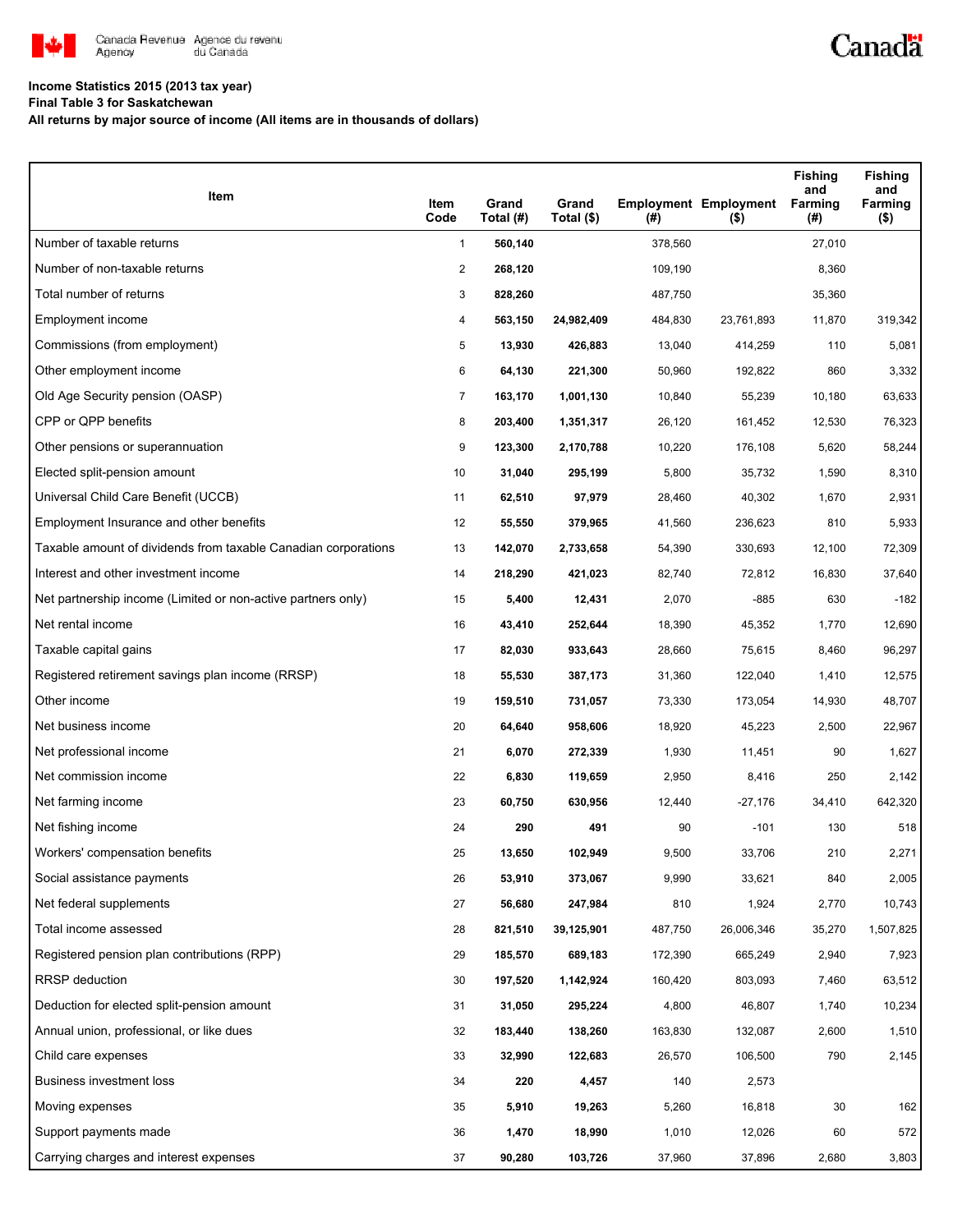

## **Income Statistics 2015 (2013 tax year)**

**Final Table 3 for Saskatchewan**

**All returns by major source of income (All items are in thousands of dollars)**

| Item                                                           | Item<br>Code   | Grand<br>Total (#) | Grand<br>Total (\$) | (#)     | <b>Employment Employment</b><br>$($ \$) | <b>Fishing</b><br>and<br>Farming<br>(#) | <b>Fishing</b><br>and<br>Farming<br>$($ \$) |
|----------------------------------------------------------------|----------------|--------------------|---------------------|---------|-----------------------------------------|-----------------------------------------|---------------------------------------------|
| Number of taxable returns                                      | $\mathbf{1}$   | 560,140            |                     | 378,560 |                                         | 27,010                                  |                                             |
| Number of non-taxable returns                                  | $\overline{2}$ | 268,120            |                     | 109,190 |                                         | 8,360                                   |                                             |
| Total number of returns                                        | 3              | 828,260            |                     | 487,750 |                                         | 35,360                                  |                                             |
| Employment income                                              | 4              | 563,150            | 24,982,409          | 484,830 | 23,761,893                              | 11,870                                  | 319,342                                     |
| Commissions (from employment)                                  | 5              | 13,930             | 426,883             | 13,040  | 414,259                                 | 110                                     | 5,081                                       |
| Other employment income                                        | 6              | 64,130             | 221,300             | 50,960  | 192,822                                 | 860                                     | 3,332                                       |
| Old Age Security pension (OASP)                                | 7              | 163,170            | 1,001,130           | 10,840  | 55,239                                  | 10,180                                  | 63,633                                      |
| CPP or QPP benefits                                            | 8              | 203,400            | 1,351,317           | 26,120  | 161,452                                 | 12,530                                  | 76,323                                      |
| Other pensions or superannuation                               | 9              | 123,300            | 2,170,788           | 10,220  | 176,108                                 | 5,620                                   | 58,244                                      |
| Elected split-pension amount                                   | 10             | 31,040             | 295,199             | 5,800   | 35,732                                  | 1,590                                   | 8,310                                       |
| Universal Child Care Benefit (UCCB)                            | 11             | 62,510             | 97,979              | 28,460  | 40,302                                  | 1,670                                   | 2,931                                       |
| Employment Insurance and other benefits                        | 12             | 55,550             | 379,965             | 41,560  | 236,623                                 | 810                                     | 5,933                                       |
| Taxable amount of dividends from taxable Canadian corporations | 13             | 142,070            | 2,733,658           | 54,390  | 330,693                                 | 12,100                                  | 72,309                                      |
| Interest and other investment income                           | 14             | 218,290            | 421,023             | 82,740  | 72,812                                  | 16,830                                  | 37,640                                      |
| Net partnership income (Limited or non-active partners only)   | 15             | 5,400              | 12,431              | 2,070   | $-885$                                  | 630                                     | $-182$                                      |
| Net rental income                                              | 16             | 43,410             | 252,644             | 18,390  | 45,352                                  | 1,770                                   | 12,690                                      |
| Taxable capital gains                                          | 17             | 82,030             | 933,643             | 28,660  | 75,615                                  | 8,460                                   | 96,297                                      |
| Registered retirement savings plan income (RRSP)               | 18             | 55,530             | 387,173             | 31,360  | 122,040                                 | 1,410                                   | 12,575                                      |
| Other income                                                   | 19             | 159,510            | 731,057             | 73,330  | 173,054                                 | 14,930                                  | 48,707                                      |
| Net business income                                            | 20             | 64,640             | 958,606             | 18,920  | 45,223                                  | 2,500                                   | 22,967                                      |
| Net professional income                                        | 21             | 6,070              | 272,339             | 1,930   | 11,451                                  | 90                                      | 1,627                                       |
| Net commission income                                          | 22             | 6,830              | 119,659             | 2,950   | 8,416                                   | 250                                     | 2,142                                       |
| Net farming income                                             | 23             | 60,750             | 630,956             | 12,440  | $-27,176$                               | 34,410                                  | 642,320                                     |
| Net fishing income                                             | 24             | 290                | 491                 | 90      | $-101$                                  | 130                                     | 518                                         |
| Workers' compensation benefits                                 | 25             | 13,650             | 102,949             | 9,500   | 33,706                                  | 210                                     | 2,271                                       |
| Social assistance payments                                     | 26             | 53,910             | 373,067             | 9,990   | 33,621                                  | 840                                     | 2,005                                       |
| Net federal supplements                                        | 27             | 56,680             | 247,984             | 810     | 1,924                                   | 2,770                                   | 10,743                                      |
| Total income assessed                                          | 28             | 821,510            | 39,125,901          | 487,750 | 26,006,346                              | 35,270                                  | 1,507,825                                   |
| Registered pension plan contributions (RPP)                    | 29             | 185,570            | 689,183             | 172,390 | 665,249                                 | 2,940                                   | 7,923                                       |
| RRSP deduction                                                 | 30             | 197,520            | 1,142,924           | 160,420 | 803,093                                 | 7,460                                   | 63,512                                      |
| Deduction for elected split-pension amount                     | 31             | 31,050             | 295,224             | 4,800   | 46,807                                  | 1,740                                   | 10,234                                      |
| Annual union, professional, or like dues                       | 32             | 183,440            | 138,260             | 163,830 | 132,087                                 | 2,600                                   | 1,510                                       |
| Child care expenses                                            | 33             | 32,990             | 122,683             | 26,570  | 106,500                                 | 790                                     | 2,145                                       |
| Business investment loss                                       | 34             | 220                | 4,457               | 140     | 2,573                                   |                                         |                                             |
| Moving expenses                                                | 35             | 5,910              | 19,263              | 5,260   | 16,818                                  | 30                                      | 162                                         |
| Support payments made                                          | 36             | 1,470              | 18,990              | 1,010   | 12,026                                  | 60                                      | 572                                         |
| Carrying charges and interest expenses                         | 37             | 90,280             | 103,726             | 37,960  | 37,896                                  | 2,680                                   | 3,803                                       |

Canadä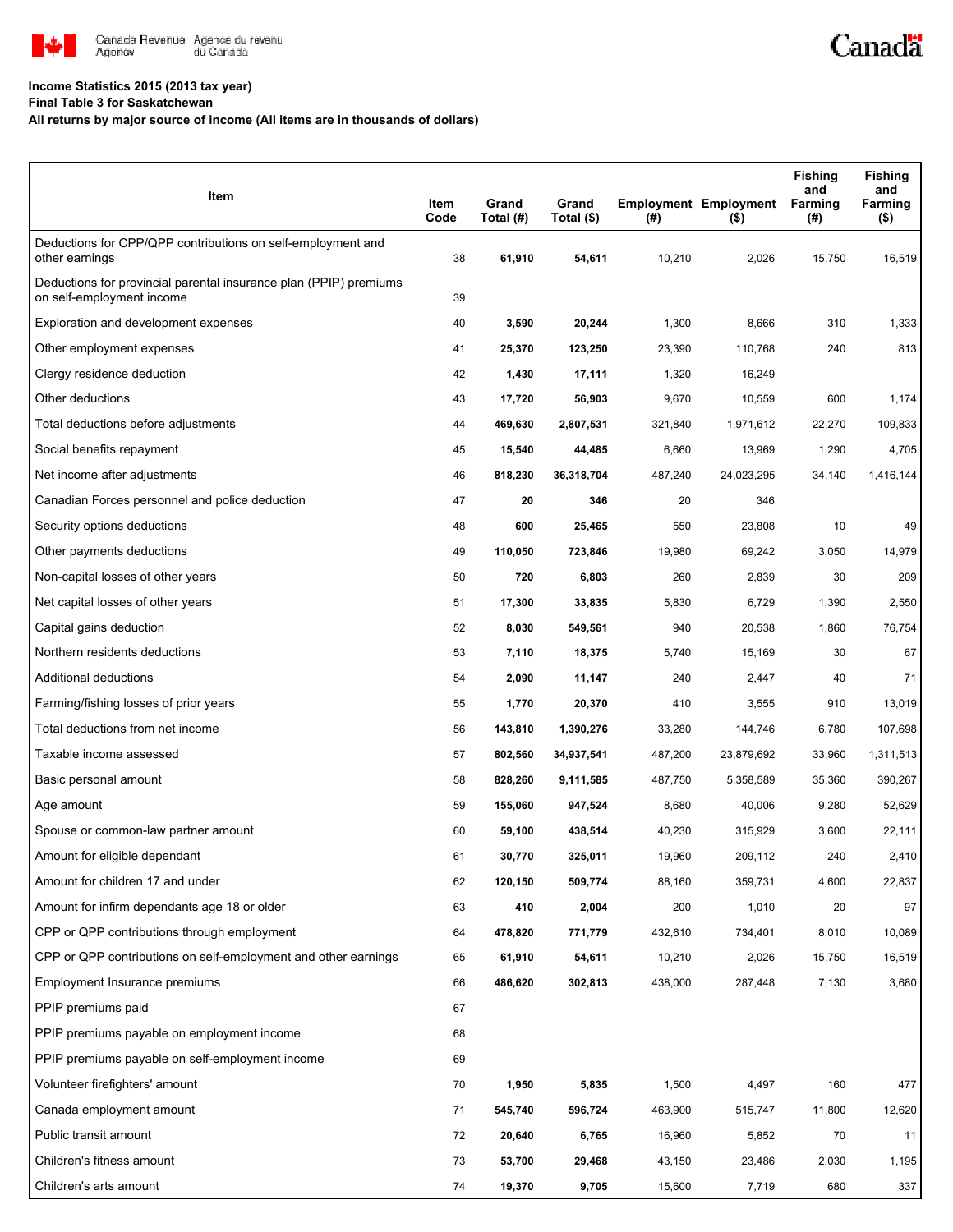

## **Income Statistics 2015 (2013 tax year)**

**Final Table 3 for Saskatchewan**

## **All returns by major source of income (All items are in thousands of dollars)**

| Item                                                                                           | Item<br>Code | Grand<br>Total (#) | Grand<br>Total (\$) | $($ #)  | <b>Employment Employment</b><br>$($ \$) | <b>Fishing</b><br>and<br><b>Farming</b><br>(#) | <b>Fishing</b><br>and<br><b>Farming</b><br>( \$) |
|------------------------------------------------------------------------------------------------|--------------|--------------------|---------------------|---------|-----------------------------------------|------------------------------------------------|--------------------------------------------------|
| Deductions for CPP/QPP contributions on self-employment and<br>other earnings                  | 38           | 61,910             | 54,611              | 10,210  | 2,026                                   | 15,750                                         | 16,519                                           |
| Deductions for provincial parental insurance plan (PPIP) premiums<br>on self-employment income | 39           |                    |                     |         |                                         |                                                |                                                  |
| Exploration and development expenses                                                           | 40           | 3,590              | 20,244              | 1,300   | 8,666                                   | 310                                            | 1,333                                            |
| Other employment expenses                                                                      | 41           | 25,370             | 123,250             | 23,390  | 110,768                                 | 240                                            | 813                                              |
| Clergy residence deduction                                                                     | 42           | 1,430              | 17,111              | 1,320   | 16,249                                  |                                                |                                                  |
| Other deductions                                                                               | 43           | 17,720             | 56,903              | 9,670   | 10,559                                  | 600                                            | 1,174                                            |
| Total deductions before adjustments                                                            | 44           | 469,630            | 2,807,531           | 321,840 | 1,971,612                               | 22,270                                         | 109,833                                          |
| Social benefits repayment                                                                      | 45           | 15,540             | 44,485              | 6,660   | 13,969                                  | 1,290                                          | 4,705                                            |
| Net income after adjustments                                                                   | 46           | 818,230            | 36,318,704          | 487,240 | 24,023,295                              | 34,140                                         | 1,416,144                                        |
| Canadian Forces personnel and police deduction                                                 | 47           | 20                 | 346                 | 20      | 346                                     |                                                |                                                  |
| Security options deductions                                                                    | 48           | 600                | 25,465              | 550     | 23,808                                  | 10                                             | 49                                               |
| Other payments deductions                                                                      | 49           | 110,050            | 723,846             | 19,980  | 69,242                                  | 3,050                                          | 14,979                                           |
| Non-capital losses of other years                                                              | 50           | 720                | 6,803               | 260     | 2,839                                   | 30                                             | 209                                              |
| Net capital losses of other years                                                              | 51           | 17,300             | 33,835              | 5,830   | 6,729                                   | 1,390                                          | 2,550                                            |
| Capital gains deduction                                                                        | 52           | 8,030              | 549,561             | 940     | 20,538                                  | 1,860                                          | 76,754                                           |
| Northern residents deductions                                                                  | 53           | 7,110              | 18,375              | 5,740   | 15,169                                  | 30                                             | 67                                               |
| Additional deductions                                                                          | 54           | 2,090              | 11,147              | 240     | 2,447                                   | 40                                             | 71                                               |
| Farming/fishing losses of prior years                                                          | 55           | 1,770              | 20,370              | 410     | 3,555                                   | 910                                            | 13,019                                           |
| Total deductions from net income                                                               | 56           | 143,810            | 1,390,276           | 33,280  | 144,746                                 | 6,780                                          | 107,698                                          |
| Taxable income assessed                                                                        | 57           | 802,560            | 34,937,541          | 487,200 | 23,879,692                              | 33,960                                         | 1,311,513                                        |
| Basic personal amount                                                                          | 58           | 828,260            | 9,111,585           | 487,750 | 5,358,589                               | 35,360                                         | 390,267                                          |
| Age amount                                                                                     | 59           | 155,060            | 947,524             | 8,680   | 40,006                                  | 9,280                                          | 52,629                                           |
| Spouse or common-law partner amount                                                            | 60           | 59,100             | 438,514             | 40,230  | 315,929                                 | 3,600                                          | 22,111                                           |
| Amount for eligible dependant                                                                  | 61           | 30,770             | 325,011             | 19,960  | 209,112                                 | 240                                            | 2,410                                            |
| Amount for children 17 and under                                                               | 62           | 120,150            | 509,774             | 88,160  | 359,731                                 | 4,600                                          | 22,837                                           |
| Amount for infirm dependants age 18 or older                                                   | 63           | 410                | 2,004               | 200     | 1,010                                   | 20                                             | 97                                               |
| CPP or QPP contributions through employment                                                    | 64           | 478,820            | 771,779             | 432,610 | 734,401                                 | 8,010                                          | 10,089                                           |
| CPP or QPP contributions on self-employment and other earnings                                 | 65           | 61,910             | 54,611              | 10,210  | 2,026                                   | 15,750                                         | 16,519                                           |
| Employment Insurance premiums                                                                  | 66           | 486,620            | 302,813             | 438,000 | 287,448                                 | 7,130                                          | 3,680                                            |
| PPIP premiums paid                                                                             | 67           |                    |                     |         |                                         |                                                |                                                  |
| PPIP premiums payable on employment income                                                     | 68           |                    |                     |         |                                         |                                                |                                                  |
| PPIP premiums payable on self-employment income                                                | 69           |                    |                     |         |                                         |                                                |                                                  |
| Volunteer firefighters' amount                                                                 | 70           | 1,950              | 5,835               | 1,500   | 4,497                                   | 160                                            | 477                                              |
| Canada employment amount                                                                       | 71           | 545,740            | 596,724             | 463,900 | 515,747                                 | 11,800                                         | 12,620                                           |
| Public transit amount                                                                          | 72           | 20,640             | 6,765               | 16,960  | 5,852                                   | 70                                             | 11                                               |
| Children's fitness amount                                                                      | 73           | 53,700             | 29,468              | 43,150  | 23,486                                  | 2,030                                          | 1,195                                            |
| Children's arts amount                                                                         | 74           | 19,370             | 9,705               | 15,600  | 7,719                                   | 680                                            | 337                                              |

Canadä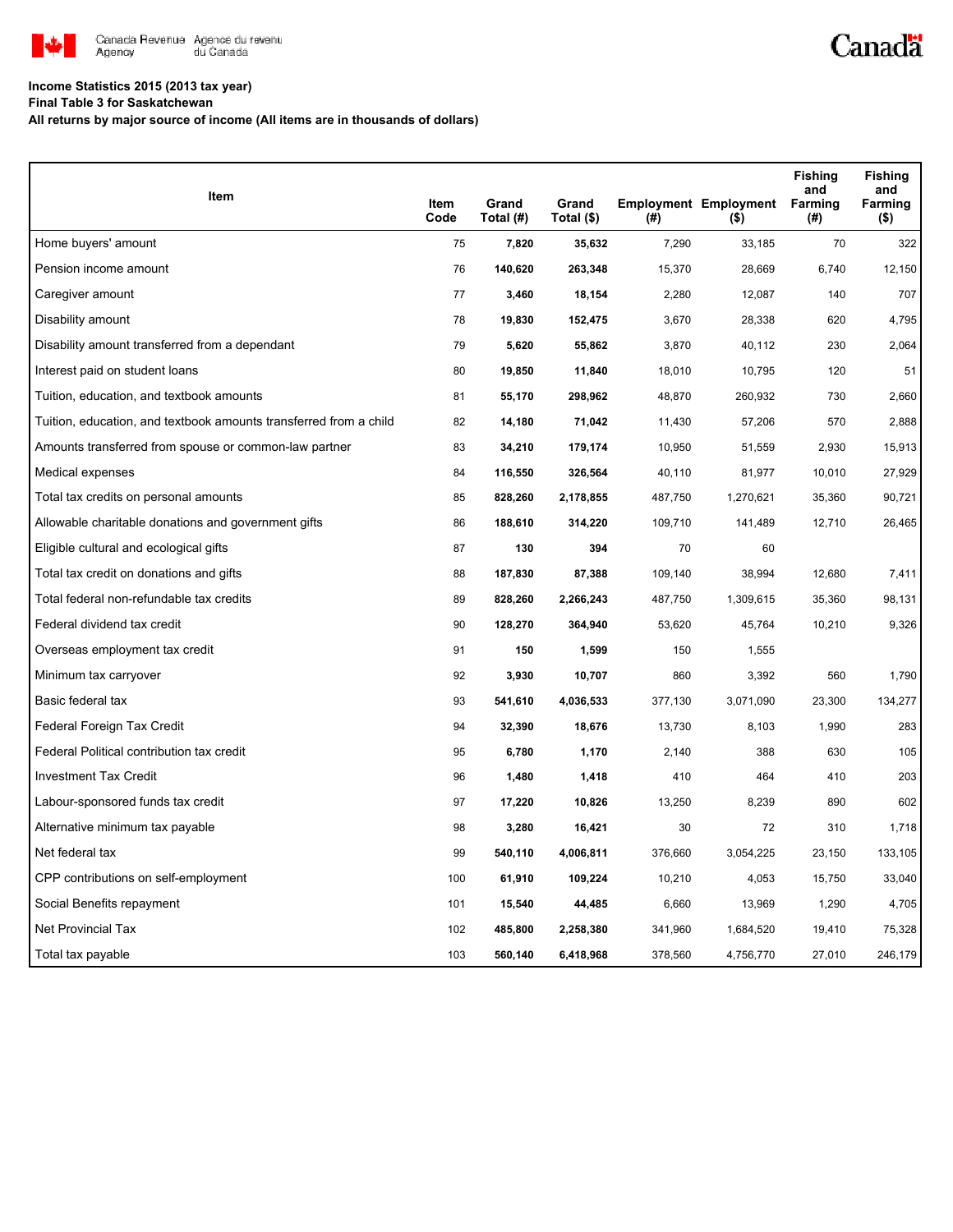

## **Income Statistics 2015 (2013 tax year)**

**Final Table 3 for Saskatchewan**

**All returns by major source of income (All items are in thousands of dollars)**

| Item                                                              |              |                    |                     |         |                                         | <b>Fishing</b><br>and | <b>Fishing</b><br>and |
|-------------------------------------------------------------------|--------------|--------------------|---------------------|---------|-----------------------------------------|-----------------------|-----------------------|
|                                                                   | Item<br>Code | Grand<br>Total (#) | Grand<br>Total (\$) | (#)     | <b>Employment Employment</b><br>$($ \$) | Farming<br>(#)        | Farming<br>$($ \$)    |
| Home buyers' amount                                               | 75           | 7,820              | 35,632              | 7,290   | 33,185                                  | 70                    | 322                   |
| Pension income amount                                             | 76           | 140,620            | 263,348             | 15,370  | 28,669                                  | 6,740                 | 12,150                |
| Caregiver amount                                                  | 77           | 3,460              | 18,154              | 2,280   | 12,087                                  | 140                   | 707                   |
| Disability amount                                                 | 78           | 19,830             | 152,475             | 3,670   | 28,338                                  | 620                   | 4,795                 |
| Disability amount transferred from a dependant                    | 79           | 5,620              | 55,862              | 3,870   | 40,112                                  | 230                   | 2,064                 |
| Interest paid on student loans                                    | 80           | 19,850             | 11,840              | 18,010  | 10,795                                  | 120                   | 51                    |
| Tuition, education, and textbook amounts                          | 81           | 55,170             | 298,962             | 48,870  | 260,932                                 | 730                   | 2,660                 |
| Tuition, education, and textbook amounts transferred from a child | 82           | 14,180             | 71,042              | 11,430  | 57,206                                  | 570                   | 2,888                 |
| Amounts transferred from spouse or common-law partner             | 83           | 34,210             | 179,174             | 10,950  | 51,559                                  | 2,930                 | 15,913                |
| Medical expenses                                                  | 84           | 116,550            | 326,564             | 40,110  | 81,977                                  | 10,010                | 27,929                |
| Total tax credits on personal amounts                             | 85           | 828,260            | 2,178,855           | 487,750 | 1,270,621                               | 35,360                | 90,721                |
| Allowable charitable donations and government gifts               | 86           | 188,610            | 314,220             | 109,710 | 141,489                                 | 12,710                | 26,465                |
| Eligible cultural and ecological gifts                            | 87           | 130                | 394                 | 70      | 60                                      |                       |                       |
| Total tax credit on donations and gifts                           | 88           | 187,830            | 87,388              | 109,140 | 38,994                                  | 12,680                | 7,411                 |
| Total federal non-refundable tax credits                          | 89           | 828,260            | 2,266,243           | 487,750 | 1,309,615                               | 35,360                | 98,131                |
| Federal dividend tax credit                                       | 90           | 128,270            | 364,940             | 53,620  | 45,764                                  | 10,210                | 9,326                 |
| Overseas employment tax credit                                    | 91           | 150                | 1,599               | 150     | 1,555                                   |                       |                       |
| Minimum tax carryover                                             | 92           | 3,930              | 10,707              | 860     | 3,392                                   | 560                   | 1,790                 |
| Basic federal tax                                                 | 93           | 541,610            | 4,036,533           | 377,130 | 3,071,090                               | 23,300                | 134,277               |
| Federal Foreign Tax Credit                                        | 94           | 32,390             | 18,676              | 13,730  | 8,103                                   | 1,990                 | 283                   |
| Federal Political contribution tax credit                         | 95           | 6,780              | 1,170               | 2,140   | 388                                     | 630                   | 105                   |
| <b>Investment Tax Credit</b>                                      | 96           | 1,480              | 1,418               | 410     | 464                                     | 410                   | 203                   |
| Labour-sponsored funds tax credit                                 | 97           | 17,220             | 10,826              | 13,250  | 8,239                                   | 890                   | 602                   |
| Alternative minimum tax payable                                   | 98           | 3,280              | 16,421              | 30      | 72                                      | 310                   | 1,718                 |
| Net federal tax                                                   | 99           | 540,110            | 4,006,811           | 376,660 | 3,054,225                               | 23,150                | 133,105               |
| CPP contributions on self-employment                              | 100          | 61,910             | 109,224             | 10,210  | 4,053                                   | 15,750                | 33,040                |
| Social Benefits repayment                                         | 101          | 15,540             | 44,485              | 6,660   | 13,969                                  | 1,290                 | 4,705                 |
| <b>Net Provincial Tax</b>                                         | 102          | 485,800            | 2,258,380           | 341,960 | 1,684,520                               | 19,410                | 75,328                |
| Total tax payable                                                 | 103          | 560,140            | 6,418,968           | 378,560 | 4,756,770                               | 27,010                | 246,179               |

Canadä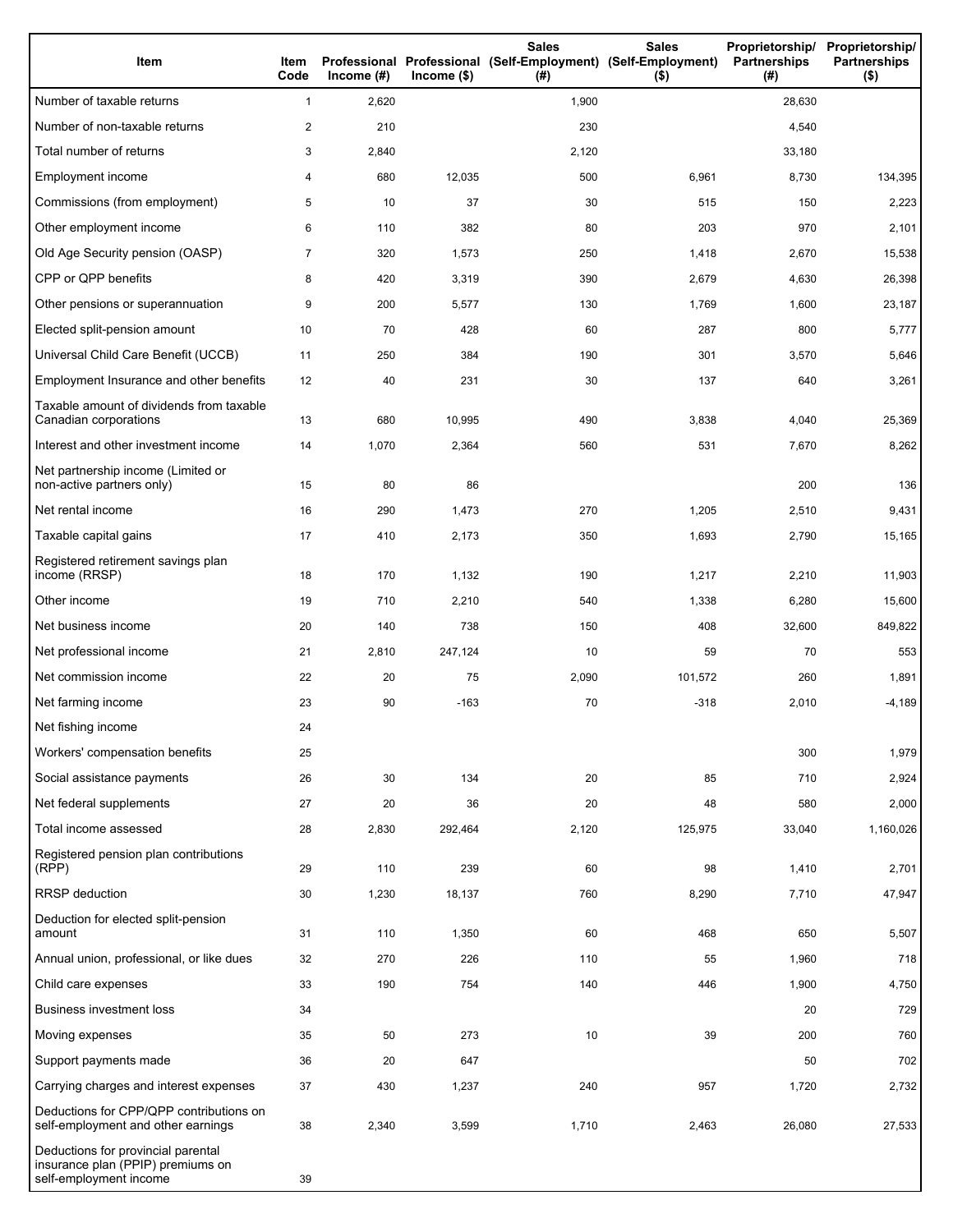| Item                                                                                              | Item<br>Code   | Income $(\#)$ | $Income$ (\$) | <b>Sales</b><br>Professional Professional (Self-Employment) (Self-Employment)<br>(#) | <b>Sales</b><br>$($ \$) | Proprietorship/<br><b>Partnerships</b><br>(# ) | Proprietorship/<br><b>Partnerships</b><br>$($ \$) |
|---------------------------------------------------------------------------------------------------|----------------|---------------|---------------|--------------------------------------------------------------------------------------|-------------------------|------------------------------------------------|---------------------------------------------------|
| Number of taxable returns                                                                         | $\mathbf{1}$   | 2,620         |               | 1,900                                                                                |                         | 28,630                                         |                                                   |
| Number of non-taxable returns                                                                     | $\overline{c}$ | 210           |               | 230                                                                                  |                         | 4,540                                          |                                                   |
| Total number of returns                                                                           | 3              | 2,840         |               | 2,120                                                                                |                         | 33,180                                         |                                                   |
| Employment income                                                                                 | 4              | 680           | 12,035        | 500                                                                                  | 6,961                   | 8,730                                          | 134,395                                           |
| Commissions (from employment)                                                                     | 5              | 10            | 37            | 30                                                                                   | 515                     | 150                                            | 2,223                                             |
| Other employment income                                                                           | 6              | 110           | 382           | 80                                                                                   | 203                     | 970                                            | 2,101                                             |
| Old Age Security pension (OASP)                                                                   | $\overline{7}$ | 320           | 1,573         | 250                                                                                  | 1,418                   | 2,670                                          | 15,538                                            |
| CPP or QPP benefits                                                                               | 8              | 420           | 3,319         | 390                                                                                  | 2,679                   | 4,630                                          | 26,398                                            |
| Other pensions or superannuation                                                                  | 9              | 200           | 5,577         | 130                                                                                  | 1,769                   | 1,600                                          | 23,187                                            |
| Elected split-pension amount                                                                      | 10             | 70            | 428           | 60                                                                                   | 287                     | 800                                            | 5,777                                             |
| Universal Child Care Benefit (UCCB)                                                               | 11             | 250           | 384           | 190                                                                                  | 301                     | 3,570                                          | 5,646                                             |
| Employment Insurance and other benefits                                                           | 12             | 40            | 231           | 30                                                                                   | 137                     | 640                                            | 3,261                                             |
| Taxable amount of dividends from taxable<br>Canadian corporations                                 | 13             | 680           | 10,995        | 490                                                                                  | 3,838                   | 4,040                                          | 25,369                                            |
| Interest and other investment income                                                              | 14             | 1,070         | 2,364         | 560                                                                                  | 531                     | 7,670                                          | 8,262                                             |
| Net partnership income (Limited or<br>non-active partners only)                                   | 15             | 80            | 86            |                                                                                      |                         | 200                                            | 136                                               |
| Net rental income                                                                                 | 16             | 290           | 1,473         | 270                                                                                  | 1,205                   | 2,510                                          | 9,431                                             |
| Taxable capital gains                                                                             | 17             | 410           | 2,173         | 350                                                                                  | 1,693                   | 2,790                                          | 15,165                                            |
| Registered retirement savings plan<br>income (RRSP)                                               | 18             | 170           | 1,132         | 190                                                                                  | 1,217                   | 2,210                                          | 11,903                                            |
| Other income                                                                                      | 19             | 710           | 2,210         | 540                                                                                  | 1,338                   | 6,280                                          | 15,600                                            |
| Net business income                                                                               | 20             | 140           | 738           | 150                                                                                  | 408                     | 32,600                                         | 849,822                                           |
| Net professional income                                                                           | 21             | 2,810         | 247,124       | 10                                                                                   | 59                      | 70                                             | 553                                               |
| Net commission income                                                                             | 22             | 20            | 75            | 2,090                                                                                | 101,572                 | 260                                            | 1,891                                             |
| Net farming income                                                                                | 23             | 90            | $-163$        | 70                                                                                   | $-318$                  | 2,010                                          | $-4,189$                                          |
| Net fishing income                                                                                | 24             |               |               |                                                                                      |                         |                                                |                                                   |
| Workers' compensation benefits                                                                    | 25             |               |               |                                                                                      |                         | 300                                            | 1,979                                             |
| Social assistance payments                                                                        | 26             | 30            | 134           | 20                                                                                   | 85                      | 710                                            | 2,924                                             |
| Net federal supplements                                                                           | 27             | 20            | 36            | 20                                                                                   | 48                      | 580                                            | 2,000                                             |
| Total income assessed                                                                             | 28             | 2,830         | 292,464       | 2,120                                                                                | 125,975                 | 33,040                                         | 1,160,026                                         |
| Registered pension plan contributions<br>(RPP)                                                    | 29             | 110           | 239           | 60                                                                                   | 98                      | 1,410                                          | 2,701                                             |
| RRSP deduction                                                                                    | 30             | 1,230         | 18,137        | 760                                                                                  | 8,290                   | 7,710                                          | 47,947                                            |
| Deduction for elected split-pension<br>amount                                                     | 31             | 110           | 1,350         | 60                                                                                   | 468                     | 650                                            | 5,507                                             |
| Annual union, professional, or like dues                                                          | 32             | 270           | 226           | 110                                                                                  | 55                      | 1,960                                          | 718                                               |
| Child care expenses                                                                               | 33             | 190           | 754           | 140                                                                                  | 446                     | 1,900                                          | 4,750                                             |
| <b>Business investment loss</b>                                                                   | 34             |               |               |                                                                                      |                         | 20                                             | 729                                               |
| Moving expenses                                                                                   | 35             | 50            | 273           | 10                                                                                   | 39                      | 200                                            | 760                                               |
| Support payments made                                                                             | 36             | 20            | 647           |                                                                                      |                         | 50                                             | 702                                               |
| Carrying charges and interest expenses                                                            | 37             | 430           | 1,237         | 240                                                                                  | 957                     | 1,720                                          | 2,732                                             |
| Deductions for CPP/QPP contributions on<br>self-employment and other earnings                     | 38             | 2,340         | 3,599         | 1,710                                                                                | 2,463                   | 26,080                                         | 27,533                                            |
| Deductions for provincial parental<br>insurance plan (PPIP) premiums on<br>self-employment income | 39             |               |               |                                                                                      |                         |                                                |                                                   |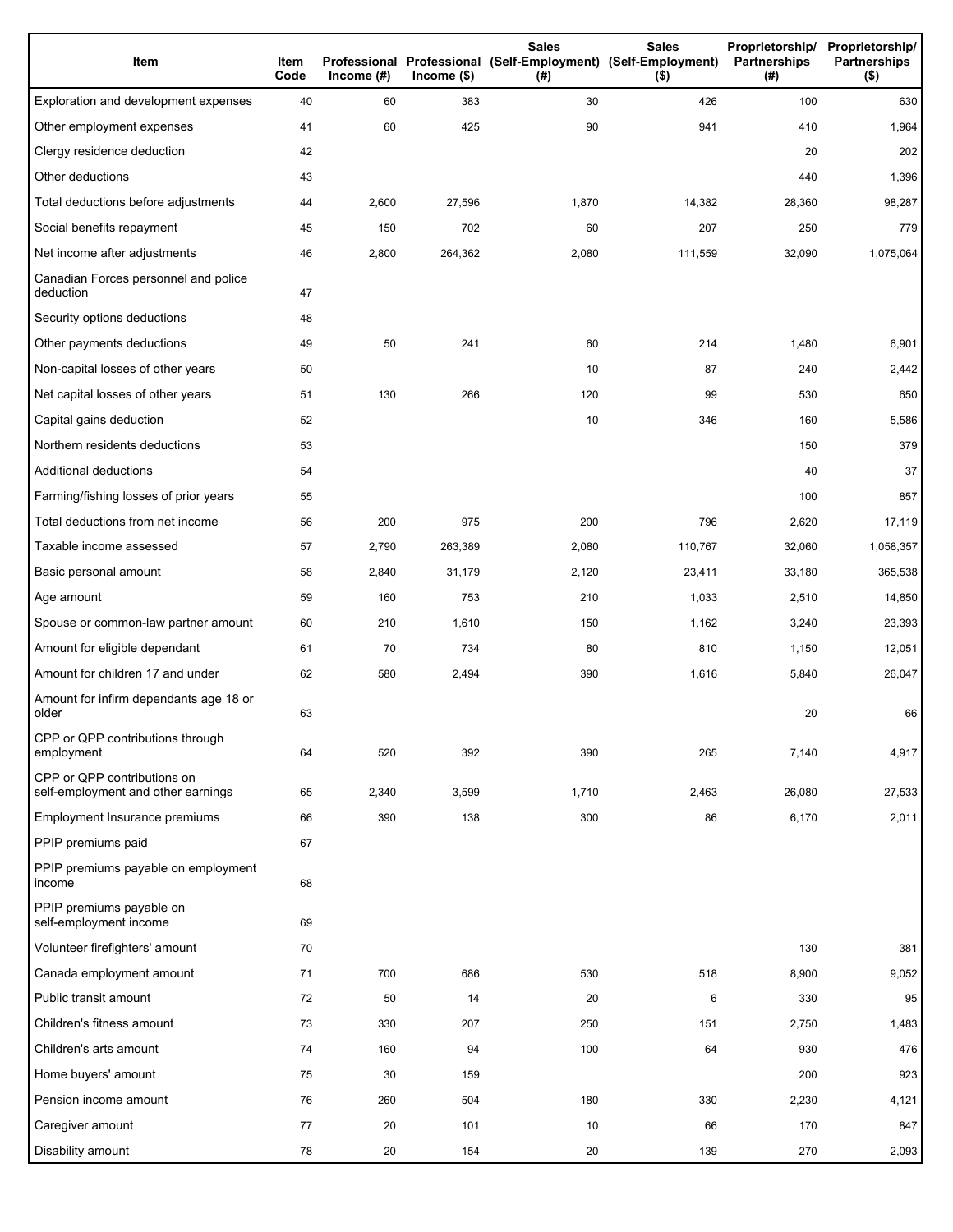| Item                                                              | Item<br>Code | Income (#) | $Income$ (\$) | <b>Sales</b><br>Professional Professional (Self-Employment) (Self-Employment)<br>(#) | <b>Sales</b><br>$($ \$) | Proprietorship/<br>Partnerships<br>(#) | Proprietorship/<br><b>Partnerships</b><br>$($ \$) |
|-------------------------------------------------------------------|--------------|------------|---------------|--------------------------------------------------------------------------------------|-------------------------|----------------------------------------|---------------------------------------------------|
| Exploration and development expenses                              | 40           | 60         | 383           | 30                                                                                   | 426                     | 100                                    | 630                                               |
| Other employment expenses                                         | 41           | 60         | 425           | 90                                                                                   | 941                     | 410                                    | 1,964                                             |
| Clergy residence deduction                                        | 42           |            |               |                                                                                      |                         | 20                                     | 202                                               |
| Other deductions                                                  | 43           |            |               |                                                                                      |                         | 440                                    | 1,396                                             |
| Total deductions before adjustments                               | 44           | 2,600      | 27,596        | 1,870                                                                                | 14,382                  | 28,360                                 | 98,287                                            |
| Social benefits repayment                                         | 45           | 150        | 702           | 60                                                                                   | 207                     | 250                                    | 779                                               |
| Net income after adjustments                                      | 46           | 2,800      | 264,362       | 2,080                                                                                | 111,559                 | 32,090                                 | 1,075,064                                         |
| Canadian Forces personnel and police<br>deduction                 | 47           |            |               |                                                                                      |                         |                                        |                                                   |
| Security options deductions                                       | 48           |            |               |                                                                                      |                         |                                        |                                                   |
| Other payments deductions                                         | 49           | 50         | 241           | 60                                                                                   | 214                     | 1,480                                  | 6,901                                             |
| Non-capital losses of other years                                 | 50           |            |               | 10                                                                                   | 87                      | 240                                    | 2,442                                             |
| Net capital losses of other years                                 | 51           | 130        | 266           | 120                                                                                  | 99                      | 530                                    | 650                                               |
| Capital gains deduction                                           | 52           |            |               | 10                                                                                   | 346                     | 160                                    | 5,586                                             |
| Northern residents deductions                                     | 53           |            |               |                                                                                      |                         | 150                                    | 379                                               |
| Additional deductions                                             | 54           |            |               |                                                                                      |                         | 40                                     | 37                                                |
| Farming/fishing losses of prior years                             | 55           |            |               |                                                                                      |                         | 100                                    | 857                                               |
| Total deductions from net income                                  | 56           | 200        | 975           | 200                                                                                  | 796                     | 2,620                                  | 17,119                                            |
| Taxable income assessed                                           | 57           | 2,790      | 263,389       | 2,080                                                                                | 110,767                 | 32,060                                 | 1,058,357                                         |
| Basic personal amount                                             | 58           | 2,840      | 31,179        | 2,120                                                                                | 23,411                  | 33,180                                 | 365,538                                           |
| Age amount                                                        | 59           | 160        | 753           | 210                                                                                  | 1,033                   | 2,510                                  | 14,850                                            |
| Spouse or common-law partner amount                               | 60           | 210        | 1,610         | 150                                                                                  | 1,162                   | 3,240                                  | 23,393                                            |
| Amount for eligible dependant                                     | 61           | 70         | 734           | 80                                                                                   | 810                     | 1,150                                  | 12,051                                            |
| Amount for children 17 and under                                  | 62           | 580        | 2,494         | 390                                                                                  | 1,616                   | 5,840                                  | 26,047                                            |
| Amount for infirm dependants age 18 or<br>older                   | 63           |            |               |                                                                                      |                         | 20                                     | 66                                                |
| CPP or QPP contributions through<br>employment                    | 64           | 520        | 392           | 390                                                                                  | 265                     | 7,140                                  | 4,917                                             |
| CPP or QPP contributions on<br>self-employment and other earnings | 65           | 2,340      | 3,599         | 1,710                                                                                | 2,463                   | 26,080                                 | 27,533                                            |
| Employment Insurance premiums                                     | 66           | 390        | 138           | 300                                                                                  | 86                      | 6,170                                  | 2,011                                             |
| PPIP premiums paid                                                | 67           |            |               |                                                                                      |                         |                                        |                                                   |
| PPIP premiums payable on employment<br>income                     | 68           |            |               |                                                                                      |                         |                                        |                                                   |
| PPIP premiums payable on<br>self-employment income                | 69           |            |               |                                                                                      |                         |                                        |                                                   |
| Volunteer firefighters' amount                                    | 70           |            |               |                                                                                      |                         | 130                                    | 381                                               |
| Canada employment amount                                          | 71           | 700        | 686           | 530                                                                                  | 518                     | 8,900                                  | 9,052                                             |
| Public transit amount                                             | 72           | 50         | 14            | 20                                                                                   | 6                       | 330                                    | 95                                                |
| Children's fitness amount                                         | 73           | 330        | 207           | 250                                                                                  | 151                     | 2,750                                  | 1,483                                             |
| Children's arts amount                                            | 74           | 160        | 94            | 100                                                                                  | 64                      | 930                                    | 476                                               |
| Home buyers' amount                                               | 75           | 30         | 159           |                                                                                      |                         | 200                                    | 923                                               |
| Pension income amount                                             | 76           | 260        | 504           | 180                                                                                  | 330                     | 2,230                                  | 4,121                                             |
| Caregiver amount                                                  | 77           | 20         | 101           | 10                                                                                   | 66                      | 170                                    | 847                                               |
| Disability amount                                                 | 78           | 20         | 154           | 20                                                                                   | 139                     | 270                                    | 2,093                                             |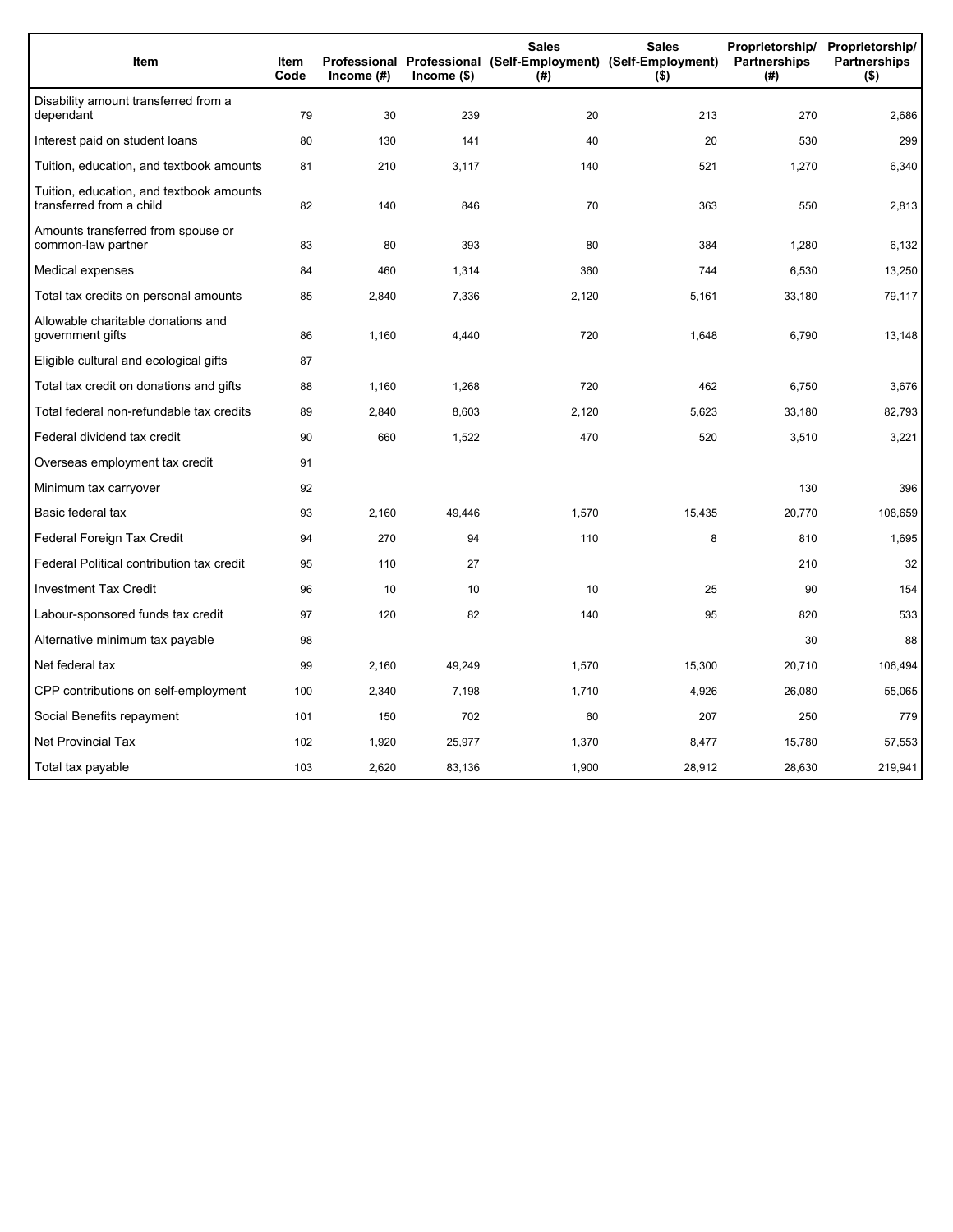| Item                                                                 | <b>Item</b><br>Code | Income (#) | $lncome$ (\$) | <b>Sales</b><br>(#) | <b>Sales</b><br>Proprietorship/<br>Professional Professional (Self-Employment) (Self-Employment)<br>Partnerships<br>$($ \$) |        | Proprietorship/<br><b>Partnerships</b><br>$($ \$) |
|----------------------------------------------------------------------|---------------------|------------|---------------|---------------------|-----------------------------------------------------------------------------------------------------------------------------|--------|---------------------------------------------------|
| Disability amount transferred from a<br>dependant                    | 79                  | 30         | 239           | 20                  | 213                                                                                                                         | 270    | 2,686                                             |
| Interest paid on student loans                                       | 80                  | 130        | 141           | 40                  | 20                                                                                                                          | 530    | 299                                               |
| Tuition, education, and textbook amounts                             | 81                  | 210        | 3,117         | 140                 | 521                                                                                                                         | 1,270  | 6,340                                             |
| Tuition, education, and textbook amounts<br>transferred from a child | 82                  | 140        | 846           | 70                  | 363                                                                                                                         | 550    | 2,813                                             |
| Amounts transferred from spouse or<br>common-law partner             | 83                  | 80         | 393           | 80                  | 384                                                                                                                         | 1,280  | 6,132                                             |
| Medical expenses                                                     | 84                  | 460        | 1,314         | 360                 | 744                                                                                                                         | 6,530  | 13,250                                            |
| Total tax credits on personal amounts                                | 85                  | 2,840      | 7,336         | 2,120               | 5,161                                                                                                                       | 33,180 | 79,117                                            |
| Allowable charitable donations and<br>government gifts               | 86                  | 1,160      | 4,440         | 720                 | 1,648                                                                                                                       | 6,790  | 13,148                                            |
| Eligible cultural and ecological gifts                               | 87                  |            |               |                     |                                                                                                                             |        |                                                   |
| Total tax credit on donations and gifts                              | 88                  | 1,160      | 1,268         | 720                 | 462                                                                                                                         | 6,750  | 3,676                                             |
| Total federal non-refundable tax credits                             | 89                  | 2,840      | 8,603         | 2,120               | 5,623                                                                                                                       | 33,180 | 82,793                                            |
| Federal dividend tax credit                                          | 90                  | 660        | 1,522         | 470                 | 520                                                                                                                         | 3,510  | 3,221                                             |
| Overseas employment tax credit                                       | 91                  |            |               |                     |                                                                                                                             |        |                                                   |
| Minimum tax carryover                                                | 92                  |            |               |                     |                                                                                                                             | 130    | 396                                               |
| Basic federal tax                                                    | 93                  | 2,160      | 49,446        | 1,570               | 15,435                                                                                                                      | 20,770 | 108,659                                           |
| Federal Foreign Tax Credit                                           | 94                  | 270        | 94            | 110                 | 8                                                                                                                           | 810    | 1,695                                             |
| Federal Political contribution tax credit                            | 95                  | 110        | 27            |                     |                                                                                                                             | 210    | 32                                                |
| <b>Investment Tax Credit</b>                                         | 96                  | 10         | 10            | 10                  | 25                                                                                                                          | 90     | 154                                               |
| Labour-sponsored funds tax credit                                    | 97                  | 120        | 82            | 140                 | 95                                                                                                                          | 820    | 533                                               |
| Alternative minimum tax payable                                      | 98                  |            |               |                     |                                                                                                                             | 30     | 88                                                |
| Net federal tax                                                      | 99                  | 2,160      | 49,249        | 1,570               | 15,300                                                                                                                      | 20,710 | 106,494                                           |
| CPP contributions on self-employment                                 | 100                 | 2,340      | 7,198         | 1,710               | 4,926                                                                                                                       | 26,080 | 55,065                                            |
| Social Benefits repayment                                            | 101                 | 150        | 702           | 60                  | 207                                                                                                                         | 250    | 779                                               |
| <b>Net Provincial Tax</b>                                            | 102                 | 1,920      | 25,977        | 1,370               | 8,477                                                                                                                       | 15,780 | 57,553                                            |
| Total tax payable                                                    | 103                 | 2,620      | 83,136        | 1,900               | 28,912                                                                                                                      | 28,630 | 219,941                                           |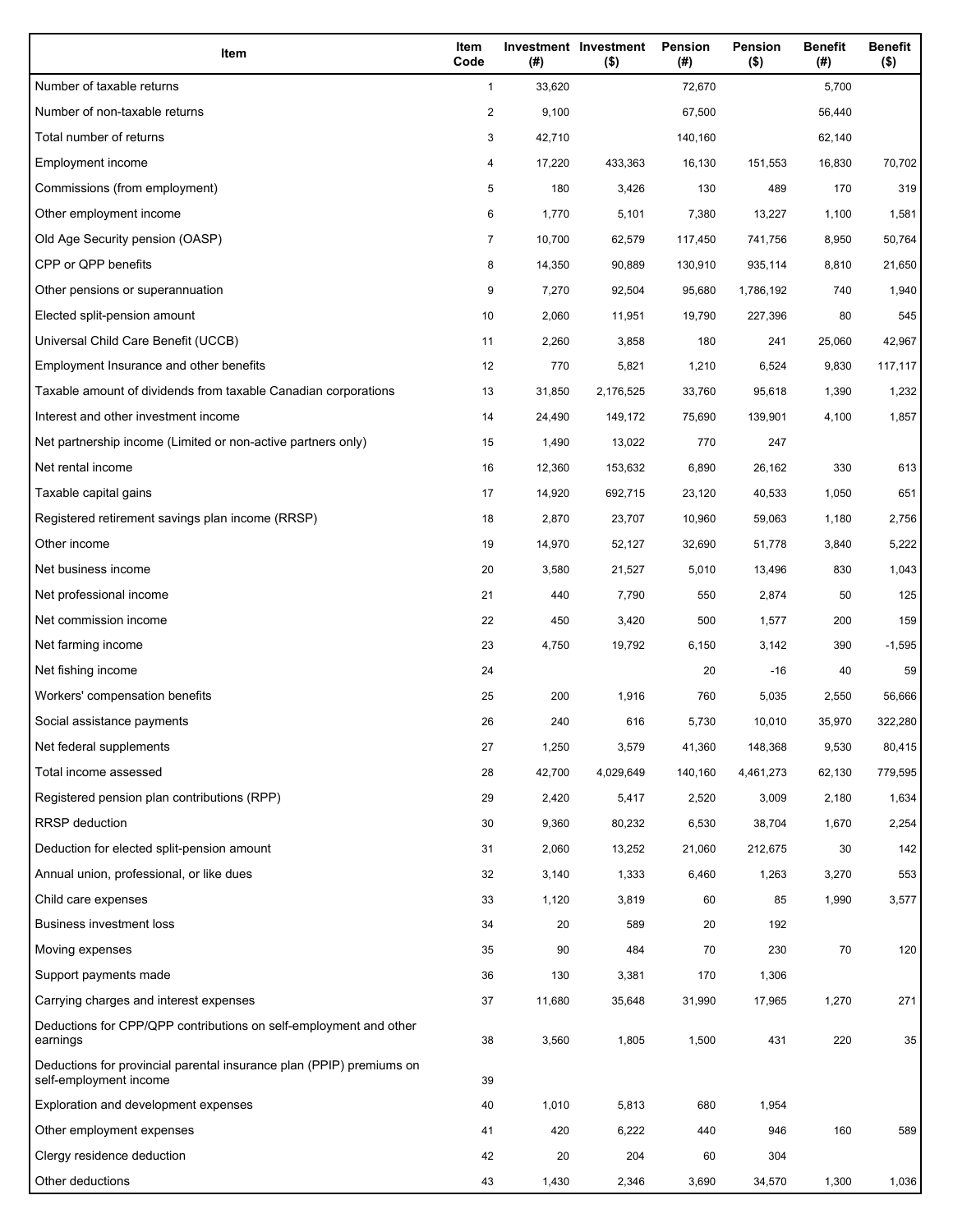| Item                                                                                           | Item<br>Code   | (# )   | Investment Investment<br>$($ \$) | Pension<br>(#) | Pension<br>$($ \$) | <b>Benefit</b><br>(#) | <b>Benefit</b><br>$($ \$) |
|------------------------------------------------------------------------------------------------|----------------|--------|----------------------------------|----------------|--------------------|-----------------------|---------------------------|
| Number of taxable returns                                                                      | $\mathbf{1}$   | 33,620 |                                  | 72,670         |                    | 5,700                 |                           |
| Number of non-taxable returns                                                                  | $\overline{c}$ | 9,100  |                                  | 67,500         |                    | 56,440                |                           |
| Total number of returns                                                                        | 3              | 42,710 |                                  | 140,160        |                    | 62,140                |                           |
| Employment income                                                                              | 4              | 17,220 | 433,363                          | 16,130         | 151,553            | 16,830                | 70,702                    |
| Commissions (from employment)                                                                  | 5              | 180    | 3,426                            | 130            | 489                | 170                   | 319                       |
| Other employment income                                                                        | 6              | 1,770  | 5,101                            | 7,380          | 13,227             | 1,100                 | 1,581                     |
| Old Age Security pension (OASP)                                                                | $\overline{7}$ | 10,700 | 62,579                           | 117,450        | 741,756            | 8,950                 | 50,764                    |
| CPP or QPP benefits                                                                            | 8              | 14,350 | 90,889                           | 130,910        | 935,114            | 8,810                 | 21,650                    |
| Other pensions or superannuation                                                               | 9              | 7,270  | 92,504                           | 95,680         | 1,786,192          | 740                   | 1,940                     |
| Elected split-pension amount                                                                   | 10             | 2,060  | 11,951                           | 19,790         | 227,396            | 80                    | 545                       |
| Universal Child Care Benefit (UCCB)                                                            | 11             | 2,260  | 3,858                            | 180            | 241                | 25,060                | 42,967                    |
| Employment Insurance and other benefits                                                        | 12             | 770    | 5,821                            | 1,210          | 6,524              | 9,830                 | 117,117                   |
| Taxable amount of dividends from taxable Canadian corporations                                 | 13             | 31,850 | 2,176,525                        | 33,760         | 95,618             | 1,390                 | 1,232                     |
| Interest and other investment income                                                           | 14             | 24,490 | 149,172                          | 75,690         | 139,901            | 4,100                 | 1,857                     |
| Net partnership income (Limited or non-active partners only)                                   | 15             | 1,490  | 13,022                           | 770            | 247                |                       |                           |
| Net rental income                                                                              | 16             | 12,360 | 153,632                          | 6,890          | 26,162             | 330                   | 613                       |
| Taxable capital gains                                                                          | 17             | 14,920 | 692,715                          | 23,120         | 40,533             | 1,050                 | 651                       |
| Registered retirement savings plan income (RRSP)                                               | 18             | 2,870  | 23,707                           | 10,960         | 59,063             | 1,180                 | 2,756                     |
| Other income                                                                                   | 19             | 14,970 | 52,127                           | 32,690         | 51,778             | 3,840                 | 5,222                     |
| Net business income                                                                            | 20             | 3,580  | 21,527                           | 5,010          | 13,496             | 830                   | 1,043                     |
| Net professional income                                                                        | 21             | 440    | 7,790                            | 550            | 2,874              | 50                    | 125                       |
| Net commission income                                                                          | 22             | 450    | 3,420                            | 500            | 1,577              | 200                   | 159                       |
| Net farming income                                                                             | 23             | 4,750  | 19,792                           | 6,150          | 3,142              | 390                   | $-1,595$                  |
| Net fishing income                                                                             | 24             |        |                                  | 20             | -16                | 40                    | 59                        |
| Workers' compensation benefits                                                                 | 25             | 200    | 1,916                            | 760            | 5,035              | 2,550                 | 56,666                    |
| Social assistance payments                                                                     | 26             | 240    | 616                              | 5,730          | 10,010             | 35,970                | 322,280                   |
| Net federal supplements                                                                        | 27             | 1,250  | 3,579                            | 41,360         | 148,368            | 9,530                 | 80,415                    |
| Total income assessed                                                                          | 28             | 42,700 | 4,029,649                        | 140,160        | 4,461,273          | 62,130                | 779,595                   |
| Registered pension plan contributions (RPP)                                                    | 29             | 2,420  | 5,417                            | 2,520          | 3,009              | 2,180                 | 1,634                     |
| <b>RRSP</b> deduction                                                                          | 30             | 9,360  | 80,232                           | 6,530          | 38,704             | 1,670                 | 2,254                     |
| Deduction for elected split-pension amount                                                     | 31             | 2,060  | 13,252                           | 21,060         | 212,675            | 30                    | 142                       |
| Annual union, professional, or like dues                                                       | 32             | 3,140  | 1,333                            | 6,460          | 1,263              | 3,270                 | 553                       |
| Child care expenses                                                                            | 33             | 1,120  | 3,819                            | 60             | 85                 | 1,990                 | 3,577                     |
| <b>Business investment loss</b>                                                                | 34             | 20     | 589                              | 20             | 192                |                       |                           |
| Moving expenses                                                                                | 35             | 90     | 484                              | 70             | 230                | 70                    | 120                       |
| Support payments made                                                                          | 36             | 130    | 3,381                            | 170            | 1,306              |                       |                           |
| Carrying charges and interest expenses                                                         | 37             | 11,680 | 35,648                           | 31,990         | 17,965             | 1,270                 | 271                       |
| Deductions for CPP/QPP contributions on self-employment and other<br>earnings                  | 38             | 3,560  | 1,805                            | 1,500          | 431                | 220                   | 35                        |
| Deductions for provincial parental insurance plan (PPIP) premiums on<br>self-employment income | 39             |        |                                  |                |                    |                       |                           |
| Exploration and development expenses                                                           | 40             | 1,010  | 5,813                            | 680            | 1,954              |                       |                           |
| Other employment expenses                                                                      | 41             | 420    | 6,222                            | 440            | 946                | 160                   | 589                       |
| Clergy residence deduction                                                                     | 42             | 20     | 204                              | 60             | 304                |                       |                           |
| Other deductions                                                                               | 43             | 1,430  | 2,346                            | 3,690          | 34,570             | 1,300                 | 1,036                     |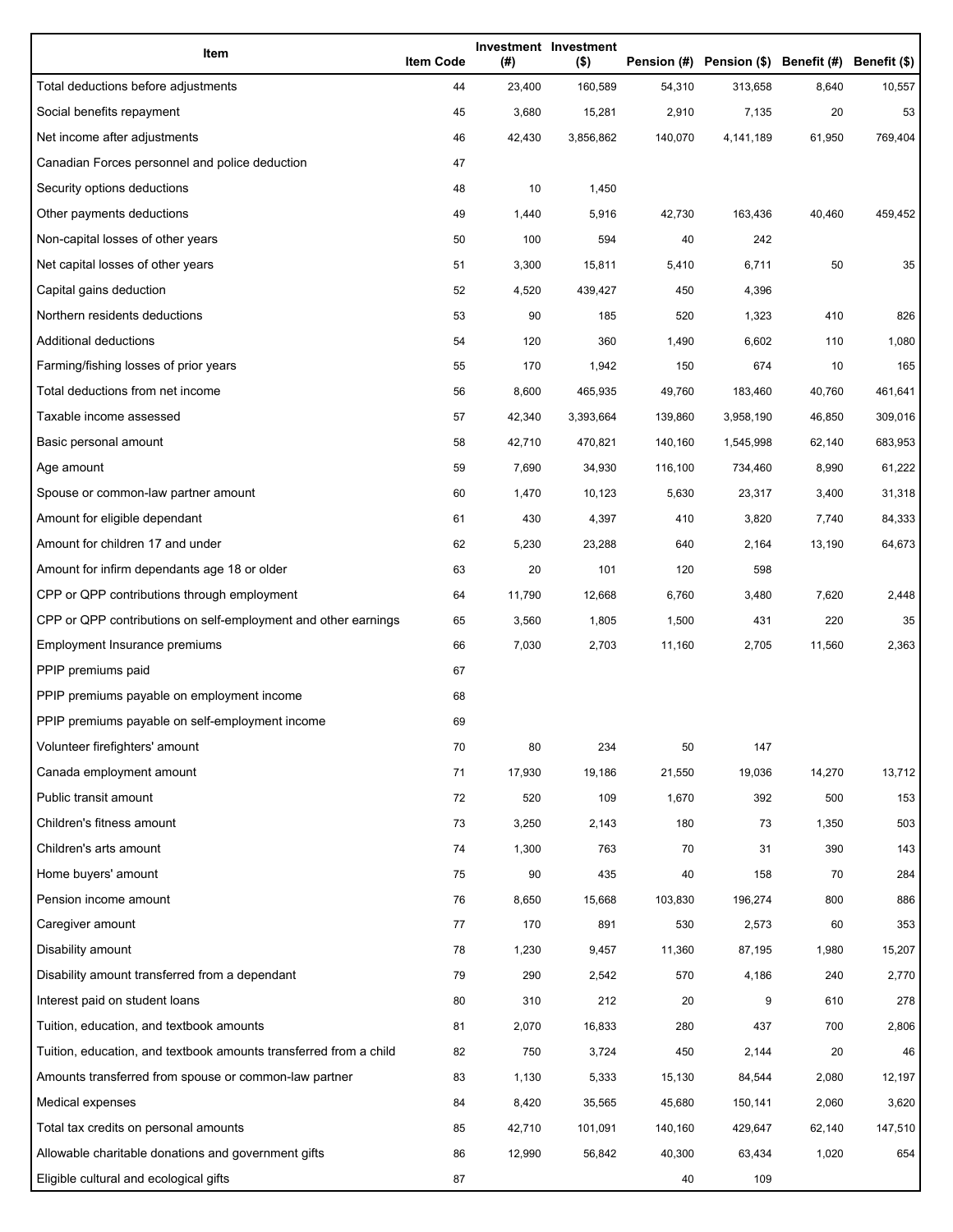| Item                                                              | <b>Item Code</b> | (#)    | Investment Investment<br>$($ \$) |         | Pension (#) Pension (\$) Benefit (#) Benefit (\$) |        |         |
|-------------------------------------------------------------------|------------------|--------|----------------------------------|---------|---------------------------------------------------|--------|---------|
| Total deductions before adjustments                               | 44               | 23,400 | 160,589                          | 54,310  | 313,658                                           | 8,640  | 10,557  |
| Social benefits repayment                                         | 45               | 3,680  | 15,281                           | 2,910   | 7,135                                             | 20     | 53      |
| Net income after adjustments                                      | 46               | 42,430 | 3,856,862                        | 140,070 | 4,141,189                                         | 61,950 | 769,404 |
| Canadian Forces personnel and police deduction                    | 47               |        |                                  |         |                                                   |        |         |
| Security options deductions                                       | 48               | 10     | 1,450                            |         |                                                   |        |         |
| Other payments deductions                                         | 49               | 1,440  | 5,916                            | 42,730  | 163,436                                           | 40,460 | 459,452 |
| Non-capital losses of other years                                 | 50               | 100    | 594                              | 40      | 242                                               |        |         |
| Net capital losses of other years                                 | 51               | 3,300  | 15,811                           | 5,410   | 6,711                                             | 50     | 35      |
| Capital gains deduction                                           | 52               | 4,520  | 439,427                          | 450     | 4,396                                             |        |         |
| Northern residents deductions                                     | 53               | 90     | 185                              | 520     | 1,323                                             | 410    | 826     |
| Additional deductions                                             | 54               | 120    | 360                              | 1,490   | 6,602                                             | 110    | 1,080   |
| Farming/fishing losses of prior years                             | 55               | 170    | 1,942                            | 150     | 674                                               | 10     | 165     |
| Total deductions from net income                                  | 56               | 8,600  | 465,935                          | 49,760  | 183,460                                           | 40,760 | 461,641 |
| Taxable income assessed                                           | 57               | 42,340 | 3,393,664                        | 139,860 | 3,958,190                                         | 46,850 | 309,016 |
| Basic personal amount                                             | 58               | 42,710 | 470,821                          | 140,160 | 1,545,998                                         | 62,140 | 683,953 |
| Age amount                                                        | 59               | 7,690  | 34,930                           | 116,100 | 734,460                                           | 8,990  | 61,222  |
| Spouse or common-law partner amount                               | 60               | 1,470  | 10,123                           | 5,630   | 23,317                                            | 3,400  | 31,318  |
| Amount for eligible dependant                                     | 61               | 430    | 4,397                            | 410     | 3,820                                             | 7,740  | 84,333  |
| Amount for children 17 and under                                  | 62               | 5,230  | 23,288                           | 640     | 2,164                                             | 13,190 | 64,673  |
| Amount for infirm dependants age 18 or older                      | 63               | 20     | 101                              | 120     | 598                                               |        |         |
| CPP or QPP contributions through employment                       | 64               | 11,790 | 12,668                           | 6,760   | 3,480                                             | 7,620  | 2,448   |
| CPP or QPP contributions on self-employment and other earnings    | 65               | 3,560  | 1,805                            | 1,500   | 431                                               | 220    | 35      |
| Employment Insurance premiums                                     | 66               | 7,030  | 2,703                            | 11,160  | 2,705                                             | 11,560 | 2,363   |
| PPIP premiums paid                                                | 67               |        |                                  |         |                                                   |        |         |
| PPIP premiums payable on employment income                        | 68               |        |                                  |         |                                                   |        |         |
| PPIP premiums payable on self-employment income                   | 69               |        |                                  |         |                                                   |        |         |
| Volunteer firefighters' amount                                    | 70               | 80     | 234                              | 50      | 147                                               |        |         |
| Canada employment amount                                          | 71               | 17,930 | 19,186                           | 21,550  | 19,036                                            | 14,270 | 13,712  |
| Public transit amount                                             | 72               | 520    | 109                              | 1,670   | 392                                               | 500    | 153     |
| Children's fitness amount                                         | 73               | 3,250  | 2,143                            | 180     | 73                                                | 1,350  | 503     |
| Children's arts amount                                            | 74               | 1,300  | 763                              | 70      | 31                                                | 390    | 143     |
| Home buyers' amount                                               | 75               | 90     | 435                              | 40      | 158                                               | 70     | 284     |
| Pension income amount                                             | 76               | 8,650  | 15,668                           | 103,830 | 196,274                                           | 800    | 886     |
| Caregiver amount                                                  | 77               | 170    | 891                              | 530     | 2,573                                             | 60     | 353     |
| Disability amount                                                 | 78               | 1,230  | 9,457                            | 11,360  | 87,195                                            | 1,980  | 15,207  |
| Disability amount transferred from a dependant                    | 79               | 290    | 2,542                            | 570     | 4,186                                             | 240    | 2,770   |
| Interest paid on student loans                                    | 80               | 310    | 212                              | 20      | 9                                                 | 610    | 278     |
| Tuition, education, and textbook amounts                          | 81               | 2,070  | 16,833                           | 280     | 437                                               | 700    | 2,806   |
| Tuition, education, and textbook amounts transferred from a child | 82               | 750    | 3,724                            | 450     | 2,144                                             | 20     | 46      |
| Amounts transferred from spouse or common-law partner             | 83               | 1,130  | 5,333                            | 15,130  | 84,544                                            | 2,080  | 12,197  |
| Medical expenses                                                  | 84               | 8,420  | 35,565                           | 45,680  | 150,141                                           | 2,060  | 3,620   |
| Total tax credits on personal amounts                             | 85               | 42,710 | 101,091                          | 140,160 | 429,647                                           | 62,140 | 147,510 |
| Allowable charitable donations and government gifts               | 86               | 12,990 | 56,842                           | 40,300  | 63,434                                            | 1,020  | 654     |
| Eligible cultural and ecological gifts                            | 87               |        |                                  | 40      | 109                                               |        |         |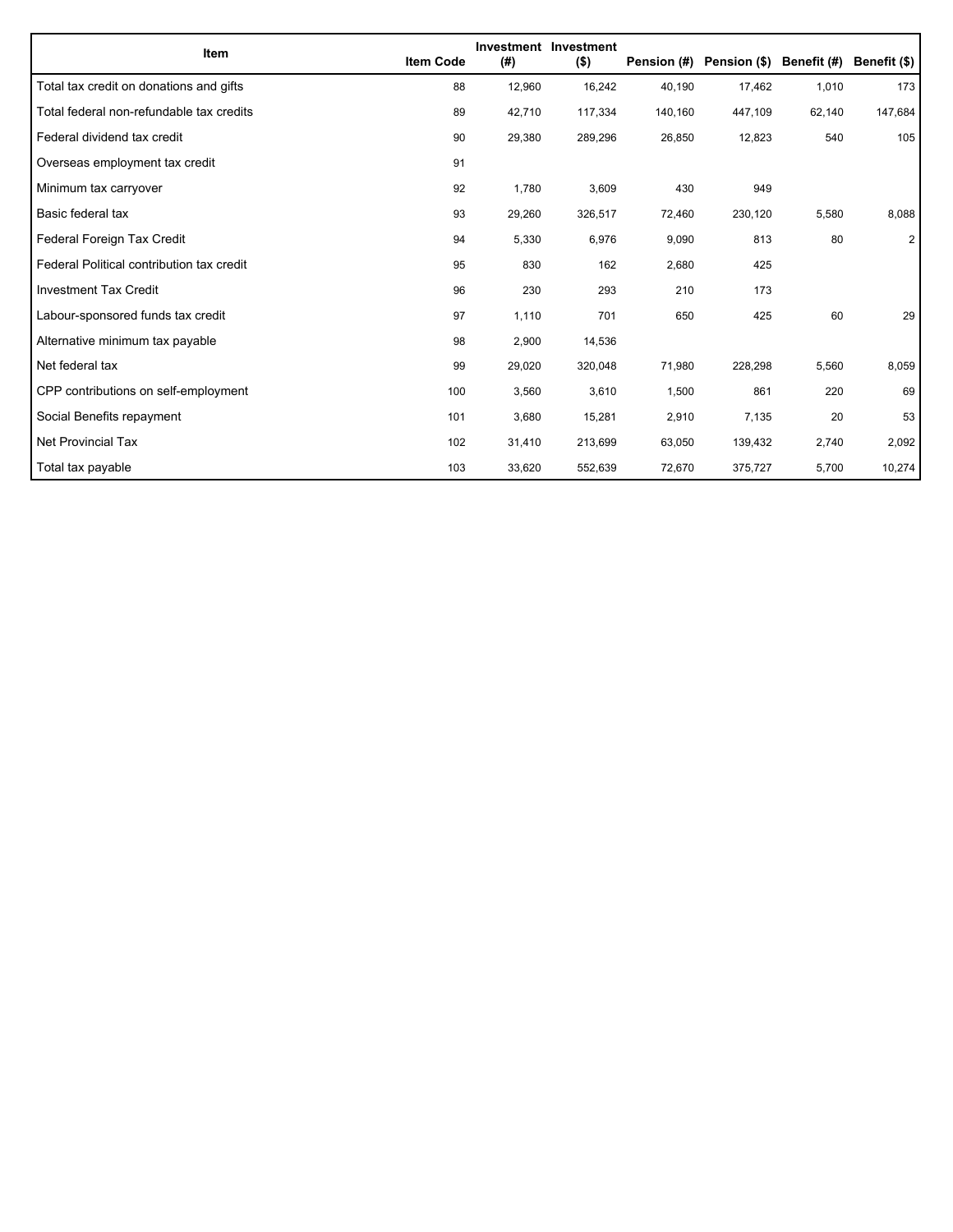| Item                                      | <b>Item Code</b> | (#)    | Investment Investment<br>$($ \$) | Pension (#) | Pension (\$) Benefit (#) |        | Benefit (\$)   |
|-------------------------------------------|------------------|--------|----------------------------------|-------------|--------------------------|--------|----------------|
| Total tax credit on donations and gifts   | 88               | 12,960 | 16,242                           | 40,190      | 17,462                   | 1,010  | 173            |
| Total federal non-refundable tax credits  | 89               | 42,710 | 117,334                          | 140,160     | 447,109                  | 62,140 | 147,684        |
| Federal dividend tax credit               | 90               | 29,380 | 289,296                          | 26,850      | 12,823                   | 540    | 105            |
| Overseas employment tax credit            | 91               |        |                                  |             |                          |        |                |
| Minimum tax carryover                     | 92               | 1,780  | 3,609                            | 430         | 949                      |        |                |
| Basic federal tax                         | 93               | 29,260 | 326,517                          | 72,460      | 230,120                  | 5,580  | 8,088          |
| Federal Foreign Tax Credit                | 94               | 5,330  | 6,976                            | 9,090       | 813                      | 80     | $\overline{2}$ |
| Federal Political contribution tax credit | 95               | 830    | 162                              | 2,680       | 425                      |        |                |
| <b>Investment Tax Credit</b>              | 96               | 230    | 293                              | 210         | 173                      |        |                |
| Labour-sponsored funds tax credit         | 97               | 1,110  | 701                              | 650         | 425                      | 60     | 29             |
| Alternative minimum tax payable           | 98               | 2,900  | 14,536                           |             |                          |        |                |
| Net federal tax                           | 99               | 29,020 | 320,048                          | 71,980      | 228,298                  | 5,560  | 8,059          |
| CPP contributions on self-employment      | 100              | 3,560  | 3,610                            | 1,500       | 861                      | 220    | 69             |
| Social Benefits repayment                 | 101              | 3,680  | 15,281                           | 2,910       | 7,135                    | 20     | 53             |
| Net Provincial Tax                        | 102              | 31,410 | 213,699                          | 63,050      | 139,432                  | 2,740  | 2,092          |
| Total tax payable                         | 103              | 33,620 | 552,639                          | 72,670      | 375,727                  | 5,700  | 10,274         |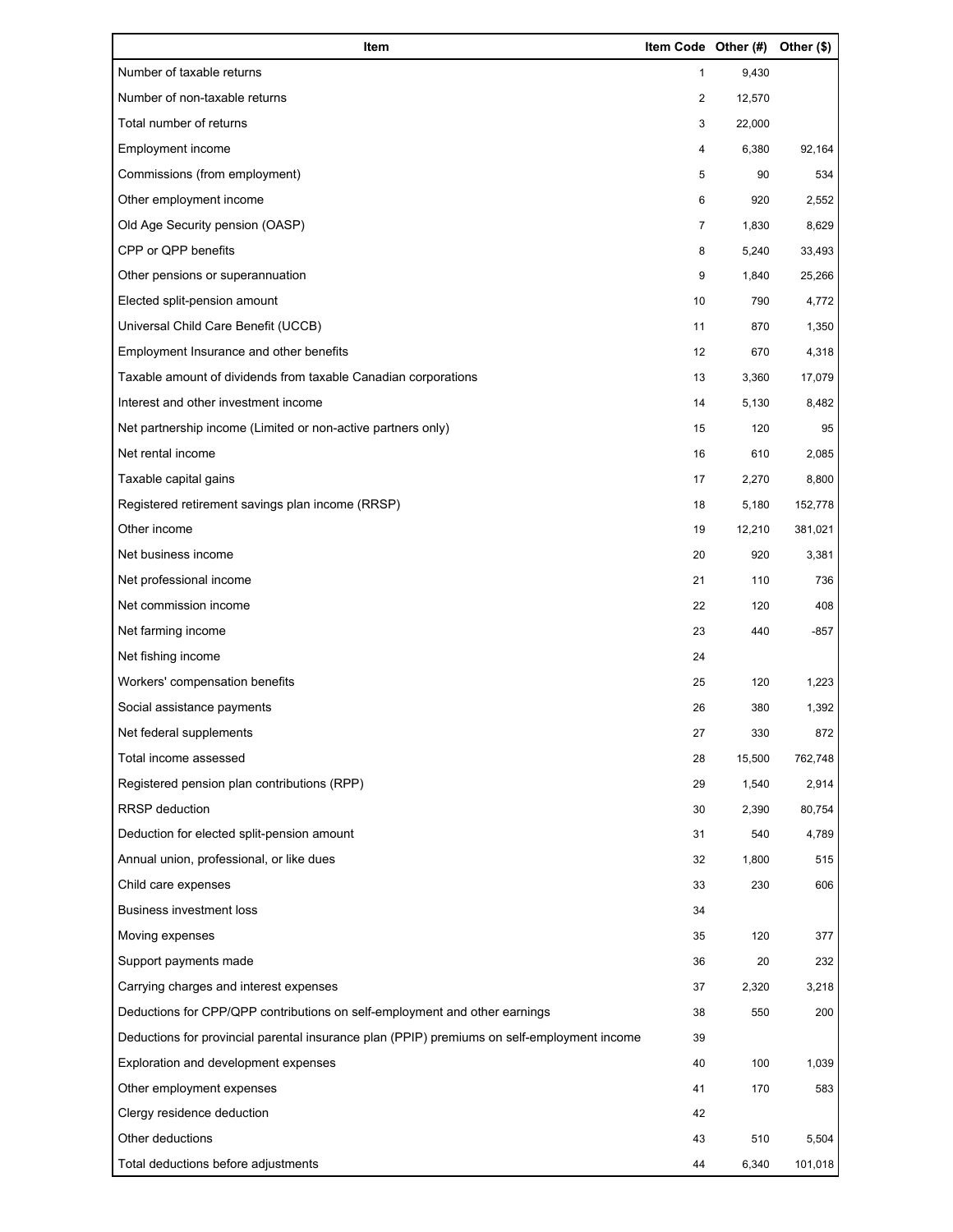| Item                                                                                        | Item Code Other (#) |        | Other (\$) |
|---------------------------------------------------------------------------------------------|---------------------|--------|------------|
| Number of taxable returns                                                                   | 1                   | 9,430  |            |
| Number of non-taxable returns                                                               | 2                   | 12,570 |            |
| Total number of returns                                                                     | 3                   | 22,000 |            |
| Employment income                                                                           | 4                   | 6,380  | 92,164     |
| Commissions (from employment)                                                               | 5                   | 90     | 534        |
| Other employment income                                                                     | 6                   | 920    | 2,552      |
| Old Age Security pension (OASP)                                                             | 7                   | 1,830  | 8,629      |
| CPP or QPP benefits                                                                         | 8                   | 5,240  | 33,493     |
| Other pensions or superannuation                                                            | 9                   | 1,840  | 25,266     |
| Elected split-pension amount                                                                | 10                  | 790    | 4,772      |
| Universal Child Care Benefit (UCCB)                                                         | 11                  | 870    | 1,350      |
| Employment Insurance and other benefits                                                     | 12                  | 670    | 4,318      |
| Taxable amount of dividends from taxable Canadian corporations                              | 13                  | 3,360  | 17,079     |
| Interest and other investment income                                                        | 14                  | 5,130  | 8,482      |
| Net partnership income (Limited or non-active partners only)                                | 15                  | 120    | 95         |
| Net rental income                                                                           | 16                  | 610    | 2,085      |
| Taxable capital gains                                                                       | 17                  | 2,270  | 8,800      |
| Registered retirement savings plan income (RRSP)                                            | 18                  | 5,180  | 152,778    |
| Other income                                                                                | 19                  | 12,210 | 381,021    |
| Net business income                                                                         | 20                  | 920    | 3,381      |
| Net professional income                                                                     | 21                  | 110    | 736        |
| Net commission income                                                                       | 22                  | 120    | 408        |
| Net farming income                                                                          | 23                  | 440    | -857       |
| Net fishing income                                                                          | 24                  |        |            |
| Workers' compensation benefits                                                              | 25                  | 120    | 1,223      |
| Social assistance payments                                                                  | 26                  | 380    | 1,392      |
| Net federal supplements                                                                     | 27                  | 330    | 872        |
| Total income assessed                                                                       | 28                  | 15,500 | 762,748    |
| Registered pension plan contributions (RPP)                                                 | 29                  | 1,540  | 2,914      |
| RRSP deduction                                                                              | 30                  | 2,390  | 80,754     |
| Deduction for elected split-pension amount                                                  | 31                  | 540    | 4,789      |
| Annual union, professional, or like dues                                                    | 32                  | 1,800  | 515        |
| Child care expenses                                                                         | 33                  | 230    | 606        |
| <b>Business investment loss</b>                                                             | 34                  |        |            |
| Moving expenses                                                                             | 35                  | 120    | 377        |
| Support payments made                                                                       | 36                  | 20     | 232        |
| Carrying charges and interest expenses                                                      | 37                  | 2,320  | 3,218      |
| Deductions for CPP/QPP contributions on self-employment and other earnings                  | 38                  | 550    | 200        |
| Deductions for provincial parental insurance plan (PPIP) premiums on self-employment income | 39                  |        |            |
| Exploration and development expenses                                                        | 40                  | 100    | 1,039      |
| Other employment expenses                                                                   | 41                  | 170    | 583        |
| Clergy residence deduction                                                                  | 42                  |        |            |
| Other deductions                                                                            | 43                  | 510    | 5,504      |
| Total deductions before adjustments                                                         | 44                  | 6,340  | 101,018    |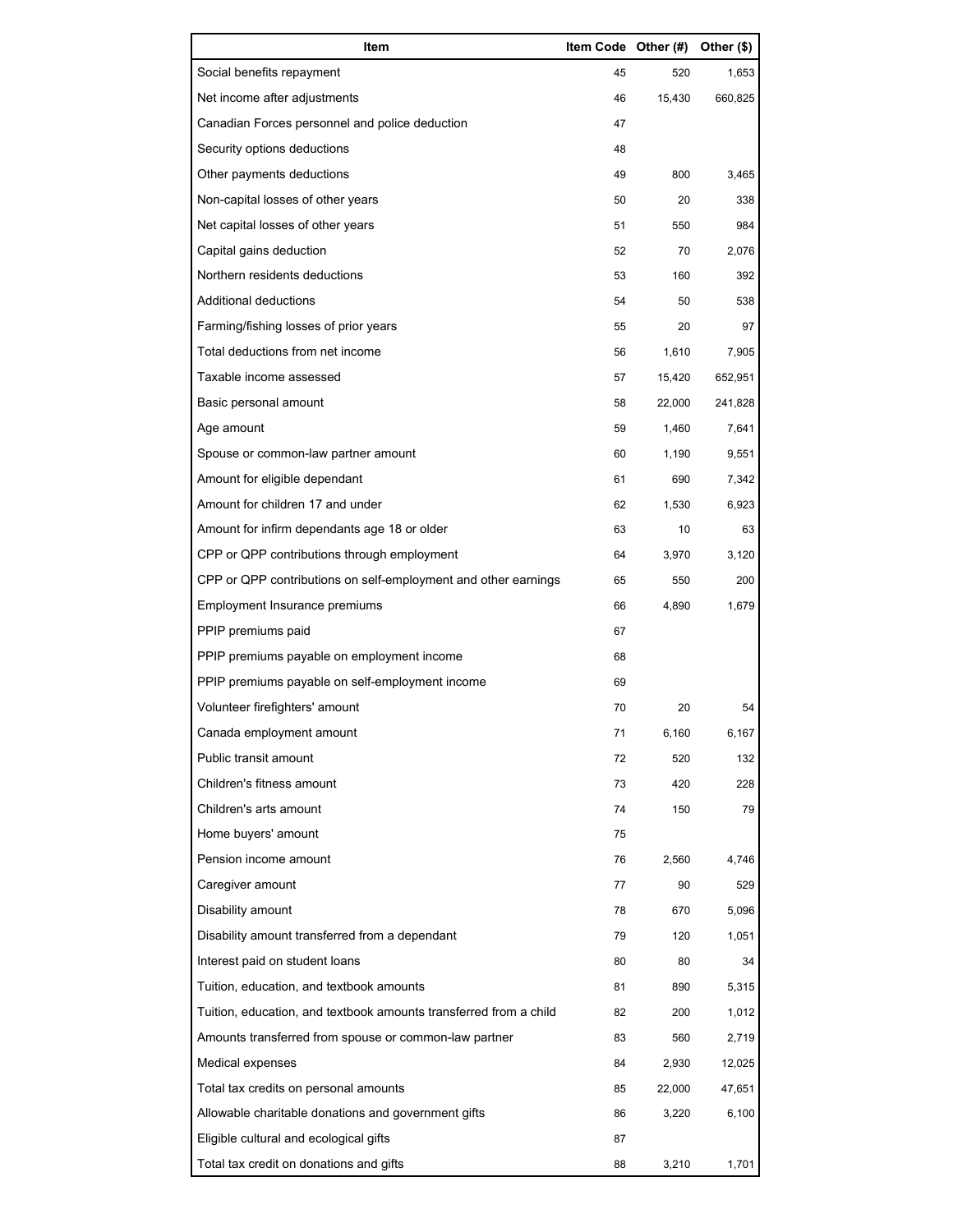| Item                                                              | Item Code Other (#) |        | Other (\$) |
|-------------------------------------------------------------------|---------------------|--------|------------|
| Social benefits repayment                                         | 45                  | 520    | 1,653      |
| Net income after adjustments                                      | 46                  | 15,430 | 660,825    |
| Canadian Forces personnel and police deduction                    | 47                  |        |            |
| Security options deductions                                       | 48                  |        |            |
| Other payments deductions                                         | 49                  | 800    | 3,465      |
| Non-capital losses of other years                                 | 50                  | 20     | 338        |
| Net capital losses of other years                                 | 51                  | 550    | 984        |
| Capital gains deduction                                           | 52                  | 70     | 2,076      |
| Northern residents deductions                                     | 53                  | 160    | 392        |
| Additional deductions                                             | 54                  | 50     | 538        |
| Farming/fishing losses of prior years                             | 55                  | 20     | 97         |
| Total deductions from net income                                  | 56                  | 1,610  | 7,905      |
| Taxable income assessed                                           | 57                  | 15,420 | 652,951    |
| Basic personal amount                                             | 58                  | 22,000 | 241,828    |
| Age amount                                                        | 59                  | 1,460  | 7,641      |
| Spouse or common-law partner amount                               | 60                  | 1,190  | 9,551      |
| Amount for eligible dependant                                     | 61                  | 690    | 7,342      |
| Amount for children 17 and under                                  | 62                  | 1,530  | 6,923      |
| Amount for infirm dependants age 18 or older                      | 63                  | 10     | 63         |
| CPP or QPP contributions through employment                       | 64                  | 3,970  | 3,120      |
| CPP or QPP contributions on self-employment and other earnings    | 65                  | 550    | 200        |
| Employment Insurance premiums                                     | 66                  | 4,890  | 1,679      |
| PPIP premiums paid                                                | 67                  |        |            |
| PPIP premiums payable on employment income                        | 68                  |        |            |
| PPIP premiums payable on self-employment income                   | 69                  |        |            |
| Volunteer firefighters' amount                                    | 70                  | 20     | 54         |
| Canada employment amount                                          | 71                  | 6,160  | 6,167      |
| Public transit amount                                             | 72                  | 520    | 132        |
| Children's fitness amount                                         | 73                  | 420    | 228        |
| Children's arts amount                                            | 74                  | 150    | 79         |
| Home buyers' amount                                               | 75                  |        |            |
| Pension income amount                                             | 76                  | 2,560  | 4,746      |
| Caregiver amount                                                  | 77                  | 90     | 529        |
| Disability amount                                                 | 78                  | 670    | 5,096      |
| Disability amount transferred from a dependant                    | 79                  | 120    | 1,051      |
| Interest paid on student loans                                    | 80                  | 80     | 34         |
| Tuition, education, and textbook amounts                          | 81                  | 890    | 5,315      |
| Tuition, education, and textbook amounts transferred from a child | 82                  | 200    | 1,012      |
| Amounts transferred from spouse or common-law partner             | 83                  | 560    | 2,719      |
| Medical expenses                                                  | 84                  | 2,930  | 12,025     |
| Total tax credits on personal amounts                             | 85                  | 22,000 | 47,651     |
| Allowable charitable donations and government gifts               | 86                  | 3,220  | 6,100      |
| Eligible cultural and ecological gifts                            | 87                  |        |            |
| Total tax credit on donations and gifts                           | 88                  | 3,210  | 1,701      |